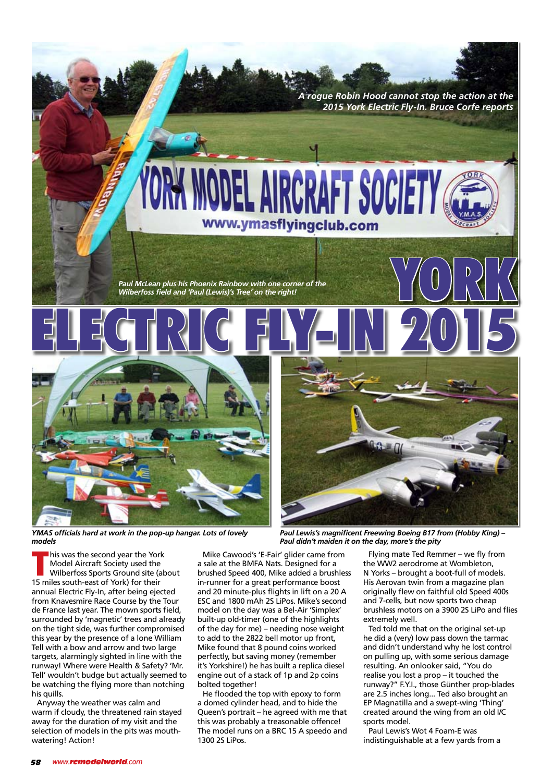

www.ymasflyingclub.com



*YMAS officials hard at work in the pop-up hangar. Lots of lovely models*

Mike Cawood's 'E-Fair' glider came from a sale at the BMFA Nats. Designed for a brushed Speed 400, Mike added a brushless in-runner for a great performance boost and 20 minute-plus flights in lift on a 20 A ESC and 1800 mAh 2S LiPos. Mike's second model on the day was a Bel-Air 'Simplex' built-up old-timer (one of the highlights of the day for me) – needing nose weight to add to the 2822 bell motor up front, Mike found that 8 pound coins worked perfectly, but saving money (remember

it's Yorkshire!) he has built a replica diesel engine out of a stack of 1p and 2p coins bolted together! He flooded the top with epoxy to form a domed cylinder head, and to hide the Queen's portrait – he agreed with me that this was probably a treasonable offence!

The model runs on a BRC 15 A speedo and 1300 2S LiPos.

*Paul Lewis's magnificent Freewing Boeing B17 from (Hobby King) – Paul didn't maiden it on the day, more's the pity*

*A rogue Robin Hood cannot stop the action at the 2015 York Electric Fly-In. Bruce Corfe reports*

> Flying mate Ted Remmer – we fly from the WW2 aerodrome at Wombleton, N Yorks – brought a boot-full of models. His Aerovan twin from a magazine plan originally flew on faithful old Speed 400s and 7-cells, but now sports two cheap brushless motors on a 3900 2S LiPo and flies extremely well.

YORK

Ted told me that on the original set-up he did a (very) low pass down the tarmac and didn't understand why he lost control on pulling up, with some serious damage resulting. An onlooker said, "You do realise you lost a prop – it touched the runway?" F.Y.I., those Günther prop-blades are 2.5 inches long... Ted also brought an EP Magnatilla and a swept-wing 'Thing' created around the wing from an old I/C sports model.

Paul Lewis's Wot 4 Foam-E was indistinguishable at a few yards from a

I his was the second year the York<br>
Model Aircraft Society used the<br>
Wilberfoss Sports Ground site (a<br>
15 miles south-east of York) for their his was the second year the York Model Aircraft Society used the Wilberfoss Sports Ground site (about annual Electric Fly-In, after being ejected from Knavesmire Race Course by the Tour de France last year. The mown sports field, surrounded by 'magnetic' trees and already on the tight side, was further compromised this year by the presence of a lone William Tell with a bow and arrow and two large targets, alarmingly sighted in line with the runway! Where were Health & Safety? 'Mr. Tell' wouldn't budge but actually seemed to

his quills. Anyway the weather was calm and warm if cloudy, the threatened rain stayed away for the duration of my visit and the selection of models in the pits was mouthwatering! Action!

be watching the flying more than notching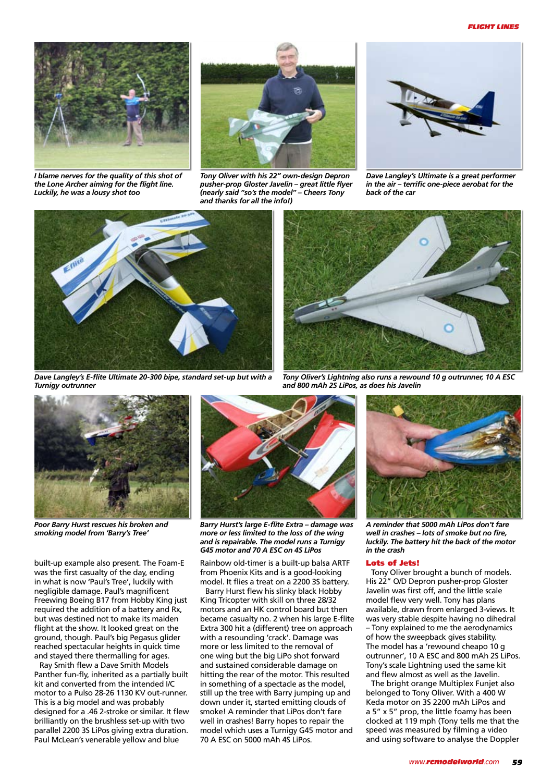## *flight lines*



*I blame nerves for the quality of this shot of the Lone Archer aiming for the flight line. Luckily, he was a lousy shot too*



*Tony Oliver with his 22" own-design Depron pusher-prop Gloster Javelin – great little flyer (nearly said "so's the model" – Cheers Tony and thanks for all the info!)*



*Dave Langley's Ultimate is a great performer in the air – terrific one-piece aerobat for the back of the car*



*Dave Langley's E-flite Ultimate 20-300 bipe, standard set-up but with a Turnigy outrunner*



*Poor Barry Hurst rescues his broken and smoking model from 'Barry's Tree'*

built-up example also present. The Foam-E was the first casualty of the day, ending in what is now 'Paul's Tree', luckily with negligible damage. Paul's magnificent Freewing Boeing B17 from Hobby King just required the addition of a battery and Rx, but was destined not to make its maiden flight at the show. It looked great on the ground, though. Paul's big Pegasus glider reached spectacular heights in quick time and stayed there thermalling for ages.

Ray Smith flew a Dave Smith Models Panther fun-fly, inherited as a partially built kit and converted from the intended I/C motor to a Pulso 28-26 1130 KV out-runner. This is a big model and was probably designed for a .46 2-stroke or similar. It flew brilliantly on the brushless set-up with two parallel 2200 3S LiPos giving extra duration. Paul McLean's venerable yellow and blue



*Barry Hurst's large E-flite Extra – damage was more or less limited to the loss of the wing and is repairable. The model runs a Turnigy G45 motor and 70 A ESC on 4S LiPos*

Rainbow old-timer is a built-up balsa ARTF from Phoenix Kits and is a good-looking model. It flies a treat on a 2200 3S battery.

Barry Hurst flew his slinky black Hobby King Tricopter with skill on three 28/32 motors and an HK control board but then became casualty no. 2 when his large E-flite Extra 300 hit a (different) tree on approach with a resounding 'crack'. Damage was more or less limited to the removal of one wing but the big LiPo shot forward and sustained considerable damage on hitting the rear of the motor. This resulted in something of a spectacle as the model, still up the tree with Barry jumping up and down under it, started emitting clouds of smoke! A reminder that LiPos don't fare well in crashes! Barry hopes to repair the model which uses a Turnigy G45 motor and 70 A ESC on 5000 mAh 4S LiPos.



*Tony Oliver's Lightning also runs a rewound 10 g outrunner, 10 A ESC and 800 mAh 2S LiPos, as does his Javelin*



*A reminder that 5000 mAh LiPos don't fare well in crashes – lots of smoke but no fire, luckily. The battery hit the back of the motor in the crash*

## Lots of Jets!

Tony Oliver brought a bunch of models. His 22" O/D Depron pusher-prop Gloster Javelin was first off, and the little scale model flew very well. Tony has plans available, drawn from enlarged 3-views. It was very stable despite having no dihedral – Tony explained to me the aerodynamics of how the sweepback gives stability. The model has a 'rewound cheapo 10 g outrunner', 10 A ESC and 800 mAh 2S LiPos. Tony's scale Lightning used the same kit and flew almost as well as the Javelin.

The bright orange Multiplex Funjet also belonged to Tony Oliver. With a 400 W Keda motor on 3S 2200 mAh LiPos and a 5" x 5" prop, the little foamy has been clocked at 119 mph (Tony tells me that the speed was measured by filming a video and using software to analyse the Doppler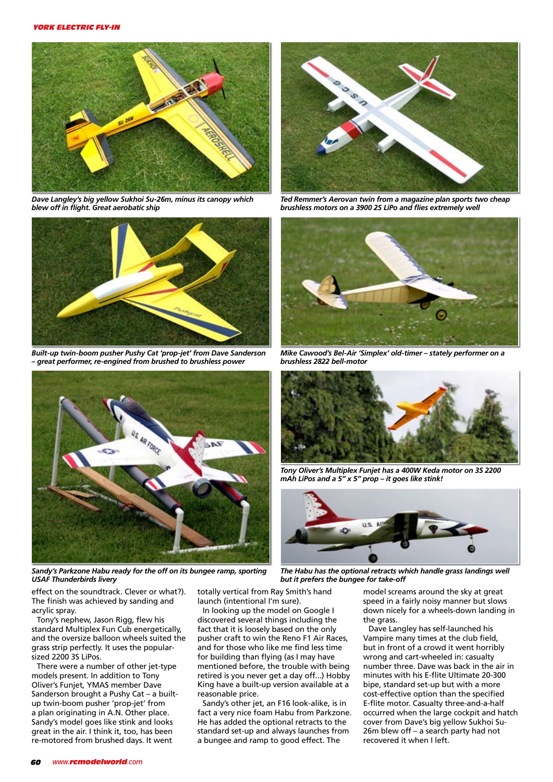

*Dave Langley's big yellow Sukhoi Su-26m, minus its canopy which blew off in flight. Great aerobatic ship*



*Built-up twin-boom pusher Pushy Cat 'prop-jet' from Dave Sanderson – great performer, re-engined from brushed to brushless power*



*Sandy's Parkzone Habu ready for the off on its bungee ramp, sporting USAF Thunderbirds livery*

OSO

*Ted Remmer's Aerovan twin from a magazine plan sports two cheap brushless motors on a 3900 2S LiPo and flies extremely well*



*Mike Cawood's Bel-Air 'Simplex' old-timer – stately performer on a brushless 2822 bell-motor*



*Tony Oliver's Multiplex Funjet has a 400W Keda motor on 3S 2200 mAh LiPos and a 5" x 5" prop – it goes like stink!*



*The Habu has the optional retracts which handle grass landings well but it prefers the bungee for take-off*

effect on the soundtrack. Clever or what?). The finish was achieved by sanding and acrylic spray.

Tony's nephew, Jason Rigg, flew his standard Multiplex Fun Cub energetically, and the oversize balloon wheels suited the grass strip perfectly. It uses the popularsized 2200 3S LiPos.

There were a number of other jet-type models present. In addition to Tony Oliver's Funjet, YMAS member Dave Sanderson brought a Pushy Cat – a builtup twin-boom pusher 'prop-jet' from a plan originating in A.N. Other place. Sandy's model goes like stink and looks great in the air. I think it, too, has been re-motored from brushed days. It went

totally vertical from Ray Smith's hand launch (intentional I'm sure).

In looking up the model on Google I discovered several things including the fact that it is loosely based on the only pusher craft to win the Reno F1 Air Races, and for those who like me find less time for building than flying (as I may have mentioned before, the trouble with being retired is you never get a day off...) Hobby King have a built-up version available at a reasonable price.

Sandy's other jet, an F16 look-alike, is in fact a very nice foam Habu from Parkzone. He has added the optional retracts to the standard set-up and always launches from a bungee and ramp to good effect. The

model screams around the sky at great speed in a fairly noisy manner but slows down nicely for a wheels-down landing in the grass.

Dave Langley has self-launched his Vampire many times at the club field, but in front of a crowd it went horribly wrong and cart-wheeled in: casualty number three. Dave was back in the air in minutes with his E-flite Ultimate 20-300 bipe, standard set-up but with a more cost-effective option than the specified E-flite motor. Casualty three-and-a-half occurred when the large cockpit and hatch cover from Dave's big yellow Sukhoi Su-26m blew off – a search party had not recovered it when I left.